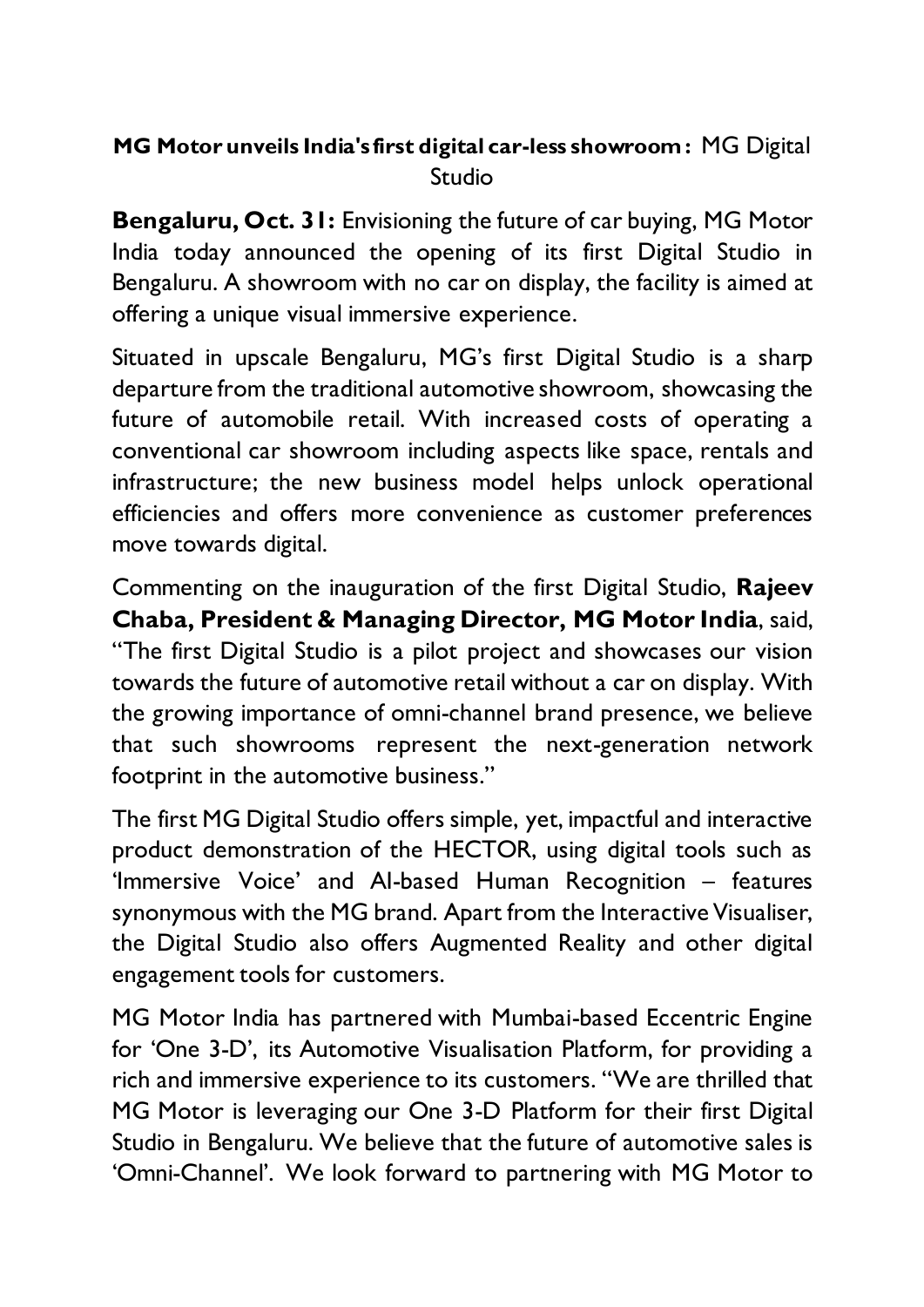## **MG Motor unveils India's first digital car-less showroom:** MG Digital Studio

**Bengaluru, Oct. 31:** Envisioning the future of car buying, MG Motor India today announced the opening of its first Digital Studio in Bengaluru. A showroom with no car on display, the facility is aimed at offering a unique visual immersive experience.

Situated in upscale Bengaluru, MG's first Digital Studio is a sharp departure from the traditional automotive showroom, showcasing the future of automobile retail. With increased costs of operating a conventional car showroom including aspects like space, rentals and infrastructure; the new business model helps unlock operational efficiencies and offers more convenience as customer preferences move towards digital.

Commenting on the inauguration of the first Digital Studio, **Rajeev Chaba, President & Managing Director, MG Motor India**, said, "The first Digital Studio is a pilot project and showcases our vision towards the future of automotive retail without a car on display. With the growing importance of omni-channel brand presence, we believe that such showrooms represent the next-generation network footprint in the automotive business."

The first MG Digital Studio offers simple, yet, impactful and interactive product demonstration of the HECTOR, using digital tools such as 'Immersive Voice' and AI-based Human Recognition – features synonymous with the MG brand. Apart from the Interactive Visualiser, the Digital Studio also offers Augmented Reality and other digital engagement tools for customers.

MG Motor India has partnered with Mumbai-based Eccentric Engine for 'One 3-D', its Automotive Visualisation Platform, for providing a rich and immersive experience to its customers. "We are thrilled that MG Motor is leveraging our One 3-D Platform for their first Digital Studio in Bengaluru. We believe that the future of automotive sales is 'Omni-Channel'. We look forward to partnering with MG Motor to